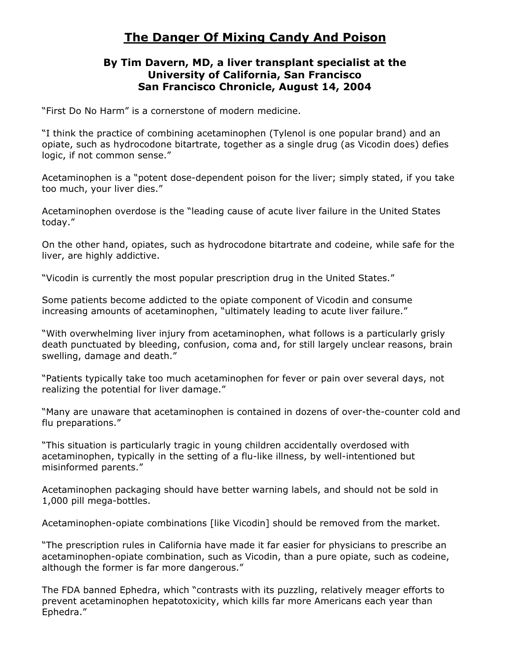# **The Danger Of Mixing Candy And Poison**

#### **By Tim Davern, MD, a liver transplant specialist at the University of California, San Francisco San Francisco Chronicle, August 14, 2004**

"First Do No Harm" is a cornerstone of modern medicine.

"I think the practice of combining acetaminophen (Tylenol is one popular brand) and an opiate, such as hydrocodone bitartrate, together as a single drug (as Vicodin does) defies logic, if not common sense."

Acetaminophen is a "potent dose-dependent poison for the liver; simply stated, if you take too much, your liver dies."

Acetaminophen overdose is the "leading cause of acute liver failure in the United States today."

On the other hand, opiates, such as hydrocodone bitartrate and codeine, while safe for the liver, are highly addictive.

"Vicodin is currently the most popular prescription drug in the United States."

Some patients become addicted to the opiate component of Vicodin and consume increasing amounts of acetaminophen, "ultimately leading to acute liver failure."

"With overwhelming liver injury from acetaminophen, what follows is a particularly grisly death punctuated by bleeding, confusion, coma and, for still largely unclear reasons, brain swelling, damage and death."

"Patients typically take too much acetaminophen for fever or pain over several days, not realizing the potential for liver damage."

"Many are unaware that acetaminophen is contained in dozens of over-the-counter cold and flu preparations."

"This situation is particularly tragic in young children accidentally overdosed with acetaminophen, typically in the setting of a flu-like illness, by well-intentioned but misinformed parents."

Acetaminophen packaging should have better warning labels, and should not be sold in 1,000 pill mega-bottles.

Acetaminophen-opiate combinations [like Vicodin] should be removed from the market.

"The prescription rules in California have made it far easier for physicians to prescribe an acetaminophen-opiate combination, such as Vicodin, than a pure opiate, such as codeine, although the former is far more dangerous."

The FDA banned Ephedra, which "contrasts with its puzzling, relatively meager efforts to prevent acetaminophen hepatotoxicity, which kills far more Americans each year than Ephedra."